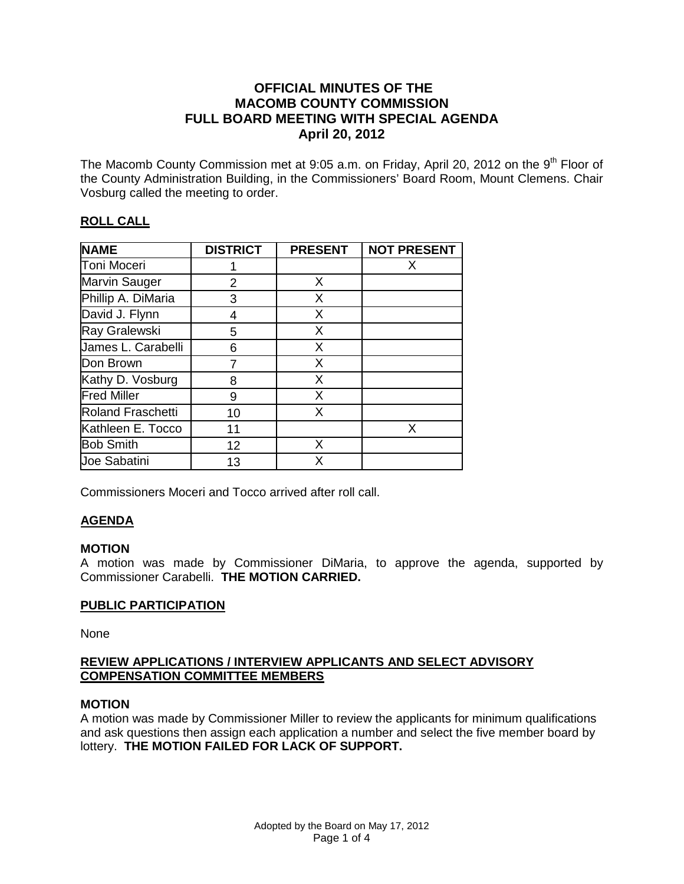### **OFFICIAL MINUTES OF THE MACOMB COUNTY COMMISSION FULL BOARD MEETING WITH SPECIAL AGENDA April 20, 2012**

The Macomb County Commission met at 9:05 a.m. on Friday, April 20, 2012 on the  $9<sup>th</sup>$  Floor of the County Administration Building, in the Commissioners' Board Room, Mount Clemens. Chair Vosburg called the meeting to order.

# **ROLL CALL**

| <b>NAME</b>              | <b>DISTRICT</b> | <b>PRESENT</b> | <b>NOT PRESENT</b> |
|--------------------------|-----------------|----------------|--------------------|
| Toni Moceri              |                 |                | х                  |
| <b>Marvin Sauger</b>     | 2               | X              |                    |
| Phillip A. DiMaria       | 3               | X              |                    |
| David J. Flynn           | 4               | X              |                    |
| Ray Gralewski            | 5               | X              |                    |
| James L. Carabelli       | 6               | X              |                    |
| Don Brown                |                 | X              |                    |
| Kathy D. Vosburg         | 8               | X              |                    |
| <b>Fred Miller</b>       | 9               | X              |                    |
| <b>Roland Fraschetti</b> | 10              | X              |                    |
| Kathleen E. Tocco        | 11              |                | x                  |
| <b>Bob Smith</b>         | 12              | X              |                    |
| <b>Joe Sabatini</b>      | 13              | x              |                    |

Commissioners Moceri and Tocco arrived after roll call.

## **AGENDA**

### **MOTION**

A motion was made by Commissioner DiMaria, to approve the agenda, supported by Commissioner Carabelli. **THE MOTION CARRIED.** 

## **PUBLIC PARTICIPATION**

None

### **REVIEW APPLICATIONS / INTERVIEW APPLICANTS AND SELECT ADVISORY COMPENSATION COMMITTEE MEMBERS**

## **MOTION**

A motion was made by Commissioner Miller to review the applicants for minimum qualifications and ask questions then assign each application a number and select the five member board by lottery. **THE MOTION FAILED FOR LACK OF SUPPORT.**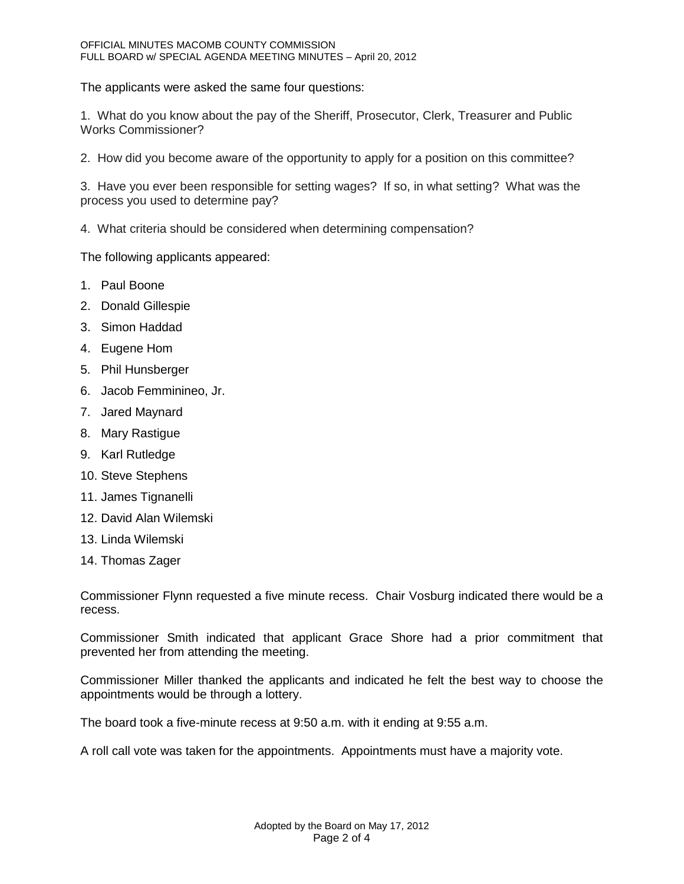The applicants were asked the same four questions:

1. What do you know about the pay of the Sheriff, Prosecutor, Clerk, Treasurer and Public Works Commissioner?

2. How did you become aware of the opportunity to apply for a position on this committee?

3. Have you ever been responsible for setting wages? If so, in what setting? What was the process you used to determine pay?

4. What criteria should be considered when determining compensation?

The following applicants appeared:

- 1. Paul Boone
- 2. Donald Gillespie
- 3. Simon Haddad
- 4. Eugene Hom
- 5. Phil Hunsberger
- 6. Jacob Femminineo, Jr.
- 7. Jared Maynard
- 8. Mary Rastigue
- 9. Karl Rutledge
- 10. Steve Stephens
- 11. James Tignanelli
- 12. David Alan Wilemski
- 13. Linda Wilemski
- 14. Thomas Zager

Commissioner Flynn requested a five minute recess. Chair Vosburg indicated there would be a recess.

Commissioner Smith indicated that applicant Grace Shore had a prior commitment that prevented her from attending the meeting.

Commissioner Miller thanked the applicants and indicated he felt the best way to choose the appointments would be through a lottery.

The board took a five-minute recess at 9:50 a.m. with it ending at 9:55 a.m.

A roll call vote was taken for the appointments. Appointments must have a majority vote.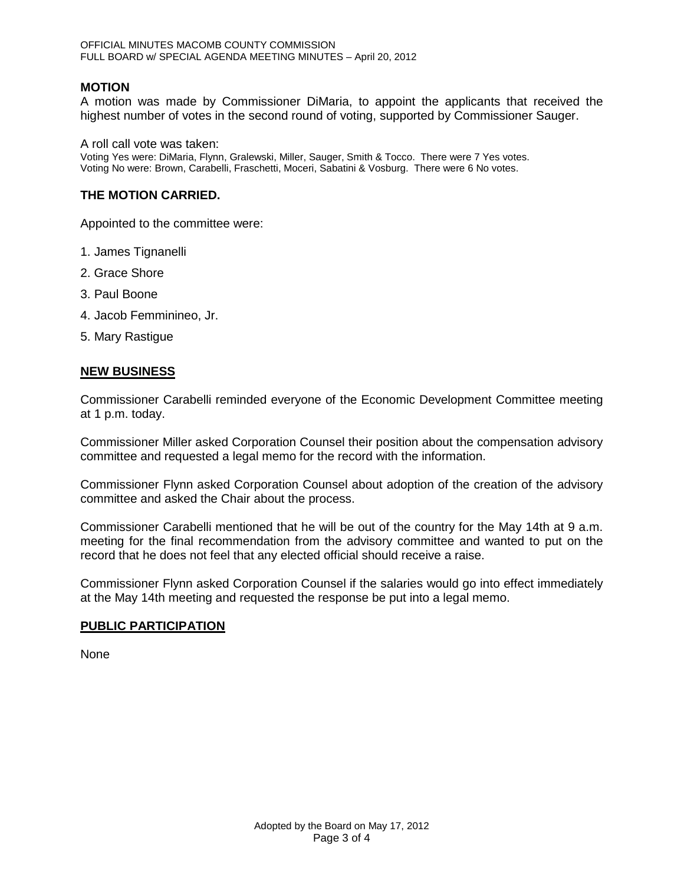### **MOTION**

A motion was made by Commissioner DiMaria, to appoint the applicants that received the highest number of votes in the second round of voting, supported by Commissioner Sauger.

A roll call vote was taken:

Voting Yes were: DiMaria, Flynn, Gralewski, Miller, Sauger, Smith & Tocco. There were 7 Yes votes. Voting No were: Brown, Carabelli, Fraschetti, Moceri, Sabatini & Vosburg. There were 6 No votes.

#### **THE MOTION CARRIED.**

Appointed to the committee were:

- 1. James Tignanelli
- 2. Grace Shore
- 3. Paul Boone
- 4. Jacob Femminineo, Jr.
- 5. Mary Rastigue

#### **NEW BUSINESS**

Commissioner Carabelli reminded everyone of the Economic Development Committee meeting at 1 p.m. today.

Commissioner Miller asked Corporation Counsel their position about the compensation advisory committee and requested a legal memo for the record with the information.

Commissioner Flynn asked Corporation Counsel about adoption of the creation of the advisory committee and asked the Chair about the process.

Commissioner Carabelli mentioned that he will be out of the country for the May 14th at 9 a.m. meeting for the final recommendation from the advisory committee and wanted to put on the record that he does not feel that any elected official should receive a raise.

Commissioner Flynn asked Corporation Counsel if the salaries would go into effect immediately at the May 14th meeting and requested the response be put into a legal memo.

#### **PUBLIC PARTICIPATION**

None